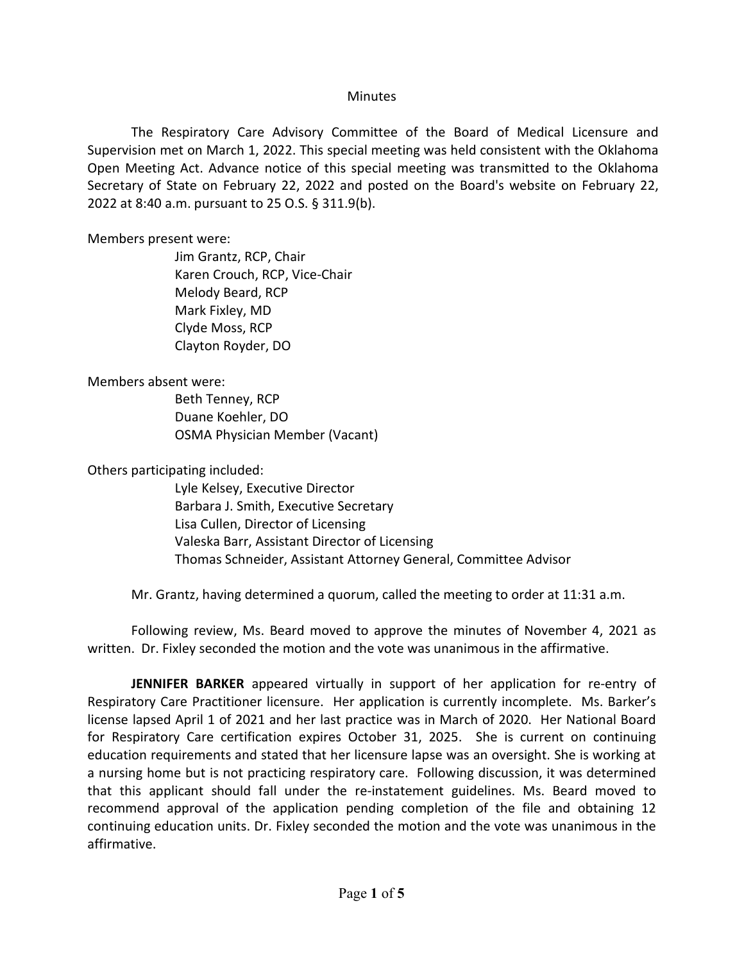## **Minutes**

The Respiratory Care Advisory Committee of the Board of Medical Licensure and Supervision met on March 1, 2022. This special meeting was held consistent with the Oklahoma Open Meeting Act. Advance notice of this special meeting was transmitted to the Oklahoma Secretary of State on February 22, 2022 and posted on the Board's website on February 22, 2022 at 8:40 a.m. pursuant to 25 O.S. § 311.9(b).

## Members present were:

Jim Grantz, RCP, Chair Karen Crouch, RCP, Vice-Chair Melody Beard, RCP Mark Fixley, MD Clyde Moss, RCP Clayton Royder, DO

## Members absent were:

Beth Tenney, RCP Duane Koehler, DO OSMA Physician Member (Vacant)

Others participating included:

Lyle Kelsey, Executive Director Barbara J. Smith, Executive Secretary Lisa Cullen, Director of Licensing Valeska Barr, Assistant Director of Licensing Thomas Schneider, Assistant Attorney General, Committee Advisor

Mr. Grantz, having determined a quorum, called the meeting to order at 11:31 a.m.

Following review, Ms. Beard moved to approve the minutes of November 4, 2021 as written. Dr. Fixley seconded the motion and the vote was unanimous in the affirmative.

**JENNIFER BARKER** appeared virtually in support of her application for re-entry of Respiratory Care Practitioner licensure. Her application is currently incomplete. Ms. Barker's license lapsed April 1 of 2021 and her last practice was in March of 2020. Her National Board for Respiratory Care certification expires October 31, 2025. She is current on continuing education requirements and stated that her licensure lapse was an oversight. She is working at a nursing home but is not practicing respiratory care. Following discussion, it was determined that this applicant should fall under the re-instatement guidelines. Ms. Beard moved to recommend approval of the application pending completion of the file and obtaining 12 continuing education units. Dr. Fixley seconded the motion and the vote was unanimous in the affirmative.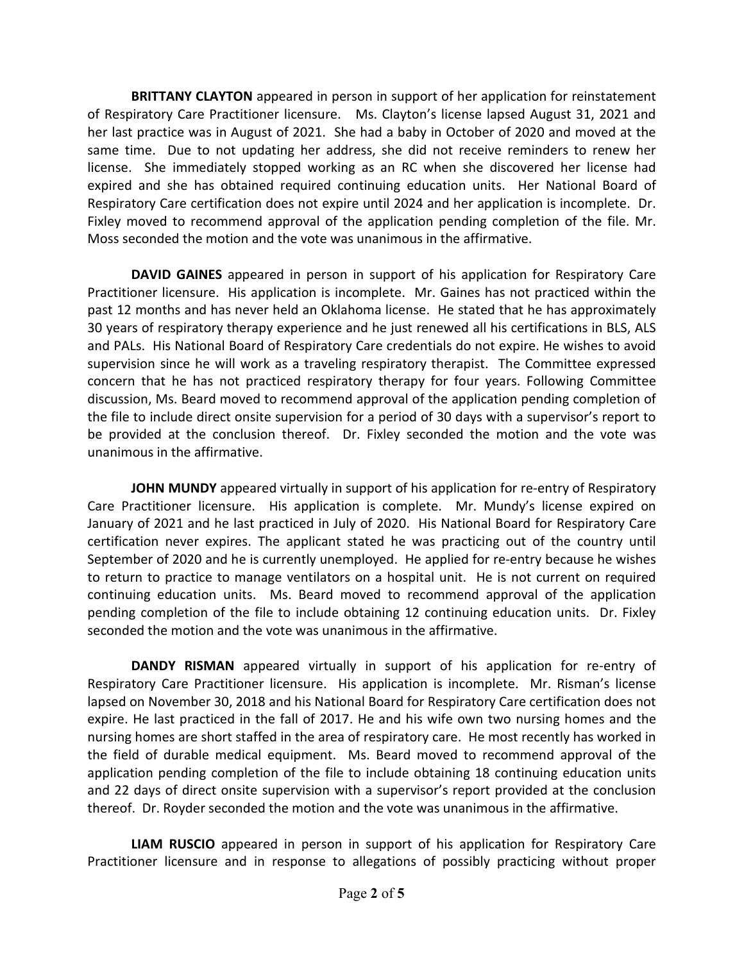**BRITTANY CLAYTON** appeared in person in support of her application for reinstatement of Respiratory Care Practitioner licensure. Ms. Clayton's license lapsed August 31, 2021 and her last practice was in August of 2021. She had a baby in October of 2020 and moved at the same time. Due to not updating her address, she did not receive reminders to renew her license. She immediately stopped working as an RC when she discovered her license had expired and she has obtained required continuing education units. Her National Board of Respiratory Care certification does not expire until 2024 and her application is incomplete. Dr. Fixley moved to recommend approval of the application pending completion of the file. Mr. Moss seconded the motion and the vote was unanimous in the affirmative.

**DAVID GAINES** appeared in person in support of his application for Respiratory Care Practitioner licensure. His application is incomplete. Mr. Gaines has not practiced within the past 12 months and has never held an Oklahoma license. He stated that he has approximately 30 years of respiratory therapy experience and he just renewed all his certifications in BLS, ALS and PALs. His National Board of Respiratory Care credentials do not expire. He wishes to avoid supervision since he will work as a traveling respiratory therapist. The Committee expressed concern that he has not practiced respiratory therapy for four years. Following Committee discussion, Ms. Beard moved to recommend approval of the application pending completion of the file to include direct onsite supervision for a period of 30 days with a supervisor's report to be provided at the conclusion thereof. Dr. Fixley seconded the motion and the vote was unanimous in the affirmative.

**JOHN MUNDY** appeared virtually in support of his application for re-entry of Respiratory Care Practitioner licensure. His application is complete. Mr. Mundy's license expired on January of 2021 and he last practiced in July of 2020. His National Board for Respiratory Care certification never expires. The applicant stated he was practicing out of the country until September of 2020 and he is currently unemployed. He applied for re-entry because he wishes to return to practice to manage ventilators on a hospital unit. He is not current on required continuing education units. Ms. Beard moved to recommend approval of the application pending completion of the file to include obtaining 12 continuing education units. Dr. Fixley seconded the motion and the vote was unanimous in the affirmative.

**DANDY RISMAN** appeared virtually in support of his application for re-entry of Respiratory Care Practitioner licensure. His application is incomplete. Mr. Risman's license lapsed on November 30, 2018 and his National Board for Respiratory Care certification does not expire. He last practiced in the fall of 2017. He and his wife own two nursing homes and the nursing homes are short staffed in the area of respiratory care. He most recently has worked in the field of durable medical equipment. Ms. Beard moved to recommend approval of the application pending completion of the file to include obtaining 18 continuing education units and 22 days of direct onsite supervision with a supervisor's report provided at the conclusion thereof. Dr. Royder seconded the motion and the vote was unanimous in the affirmative.

**LIAM RUSCIO** appeared in person in support of his application for Respiratory Care Practitioner licensure and in response to allegations of possibly practicing without proper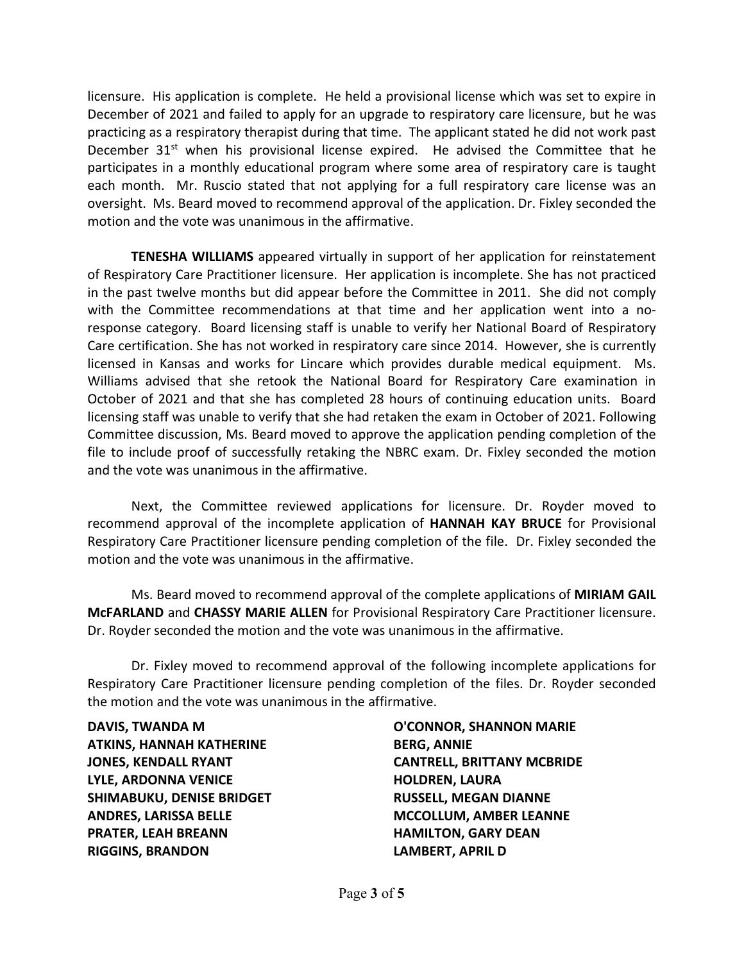licensure. His application is complete. He held a provisional license which was set to expire in December of 2021 and failed to apply for an upgrade to respiratory care licensure, but he was practicing as a respiratory therapist during that time. The applicant stated he did not work past December  $31^{st}$  when his provisional license expired. He advised the Committee that he participates in a monthly educational program where some area of respiratory care is taught each month. Mr. Ruscio stated that not applying for a full respiratory care license was an oversight. Ms. Beard moved to recommend approval of the application. Dr. Fixley seconded the motion and the vote was unanimous in the affirmative.

**TENESHA WILLIAMS** appeared virtually in support of her application for reinstatement of Respiratory Care Practitioner licensure. Her application is incomplete. She has not practiced in the past twelve months but did appear before the Committee in 2011. She did not comply with the Committee recommendations at that time and her application went into a noresponse category. Board licensing staff is unable to verify her National Board of Respiratory Care certification. She has not worked in respiratory care since 2014. However, she is currently licensed in Kansas and works for Lincare which provides durable medical equipment. Ms. Williams advised that she retook the National Board for Respiratory Care examination in October of 2021 and that she has completed 28 hours of continuing education units. Board licensing staff was unable to verify that she had retaken the exam in October of 2021. Following Committee discussion, Ms. Beard moved to approve the application pending completion of the file to include proof of successfully retaking the NBRC exam. Dr. Fixley seconded the motion and the vote was unanimous in the affirmative.

Next, the Committee reviewed applications for licensure. Dr. Royder moved to recommend approval of the incomplete application of **HANNAH KAY BRUCE** for Provisional Respiratory Care Practitioner licensure pending completion of the file. Dr. Fixley seconded the motion and the vote was unanimous in the affirmative.

Ms. Beard moved to recommend approval of the complete applications of **MIRIAM GAIL McFARLAND** and **CHASSY MARIE ALLEN** for Provisional Respiratory Care Practitioner licensure. Dr. Royder seconded the motion and the vote was unanimous in the affirmative.

Dr. Fixley moved to recommend approval of the following incomplete applications for Respiratory Care Practitioner licensure pending completion of the files. Dr. Royder seconded the motion and the vote was unanimous in the affirmative.

**DAVIS, TWANDA M ATKINS, HANNAH KATHERINE JONES, KENDALL RYANT LYLE, ARDONNA VENICE SHIMABUKU, DENISE BRIDGET ANDRES, LARISSA BELLE PRATER, LEAH BREANN RIGGINS, BRANDON** 

**O'CONNOR, SHANNON MARIE BERG, ANNIE CANTRELL, BRITTANY MCBRIDE HOLDREN, LAURA RUSSELL, MEGAN DIANNE MCCOLLUM, AMBER LEANNE HAMILTON, GARY DEAN LAMBERT, APRIL D**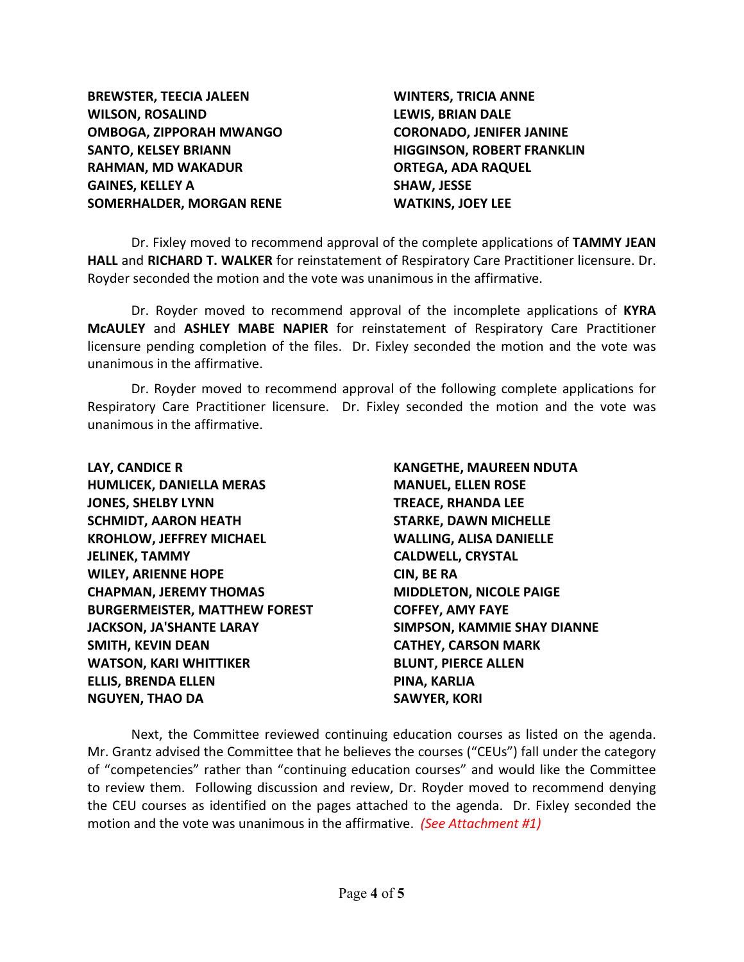**BREWSTER, TEECIA JALEEN WILSON, ROSALIND OMBOGA, ZIPPORAH MWANGO SANTO, KELSEY BRIANN RAHMAN, MD WAKADUR GAINES, KELLEY A SOMERHALDER, MORGAN RENE** 

**WINTERS, TRICIA ANNE LEWIS, BRIAN DALE CORONADO, JENIFER JANINE HIGGINSON, ROBERT FRANKLIN ORTEGA, ADA RAQUEL SHAW, JESSE WATKINS, JOEY LEE**

Dr. Fixley moved to recommend approval of the complete applications of **TAMMY JEAN HALL** and **RICHARD T. WALKER** for reinstatement of Respiratory Care Practitioner licensure. Dr. Royder seconded the motion and the vote was unanimous in the affirmative.

Dr. Royder moved to recommend approval of the incomplete applications of **KYRA McAULEY** and **ASHLEY MABE NAPIER** for reinstatement of Respiratory Care Practitioner licensure pending completion of the files. Dr. Fixley seconded the motion and the vote was unanimous in the affirmative.

Dr. Royder moved to recommend approval of the following complete applications for Respiratory Care Practitioner licensure. Dr. Fixley seconded the motion and the vote was unanimous in the affirmative.

**LAY, CANDICE R HUMLICEK, DANIELLA MERAS JONES, SHELBY LYNN SCHMIDT, AARON HEATH KROHLOW, JEFFREY MICHAEL JELINEK, TAMMY WILEY, ARIENNE HOPE CHAPMAN, JEREMY THOMAS BURGERMEISTER, MATTHEW FOREST JACKSON, JA'SHANTE LARAY SMITH, KEVIN DEAN WATSON, KARI WHITTIKER ELLIS, BRENDA ELLEN NGUYEN, THAO DA** 

**KANGETHE, MAUREEN NDUTA MANUEL, ELLEN ROSE TREACE, RHANDA LEE STARKE, DAWN MICHELLE WALLING, ALISA DANIELLE CALDWELL, CRYSTAL CIN, BE RA MIDDLETON, NICOLE PAIGE COFFEY, AMY FAYE SIMPSON, KAMMIE SHAY DIANNE CATHEY, CARSON MARK BLUNT, PIERCE ALLEN PINA, KARLIA SAWYER, KORI**

Next, the Committee reviewed continuing education courses as listed on the agenda. Mr. Grantz advised the Committee that he believes the courses ("CEUs") fall under the category of "competencies" rather than "continuing education courses" and would like the Committee to review them. Following discussion and review, Dr. Royder moved to recommend denying the CEU courses as identified on the pages attached to the agenda. Dr. Fixley seconded the motion and the vote was unanimous in the affirmative. *(See Attachment #1)*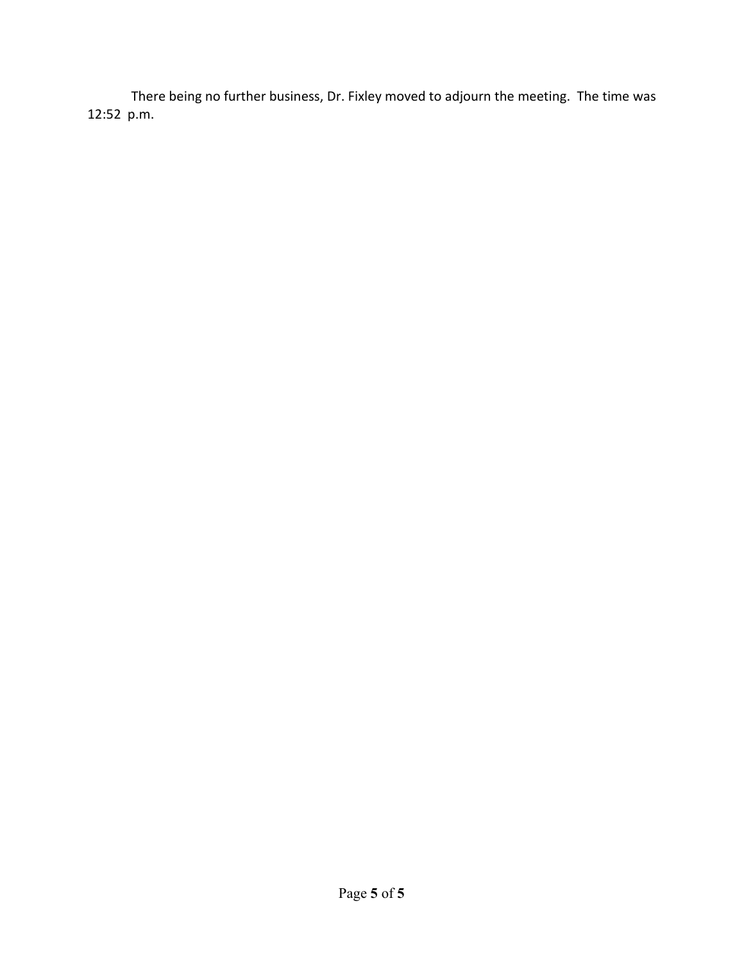There being no further business, Dr. Fixley moved to adjourn the meeting. The time was 12:52 p.m.